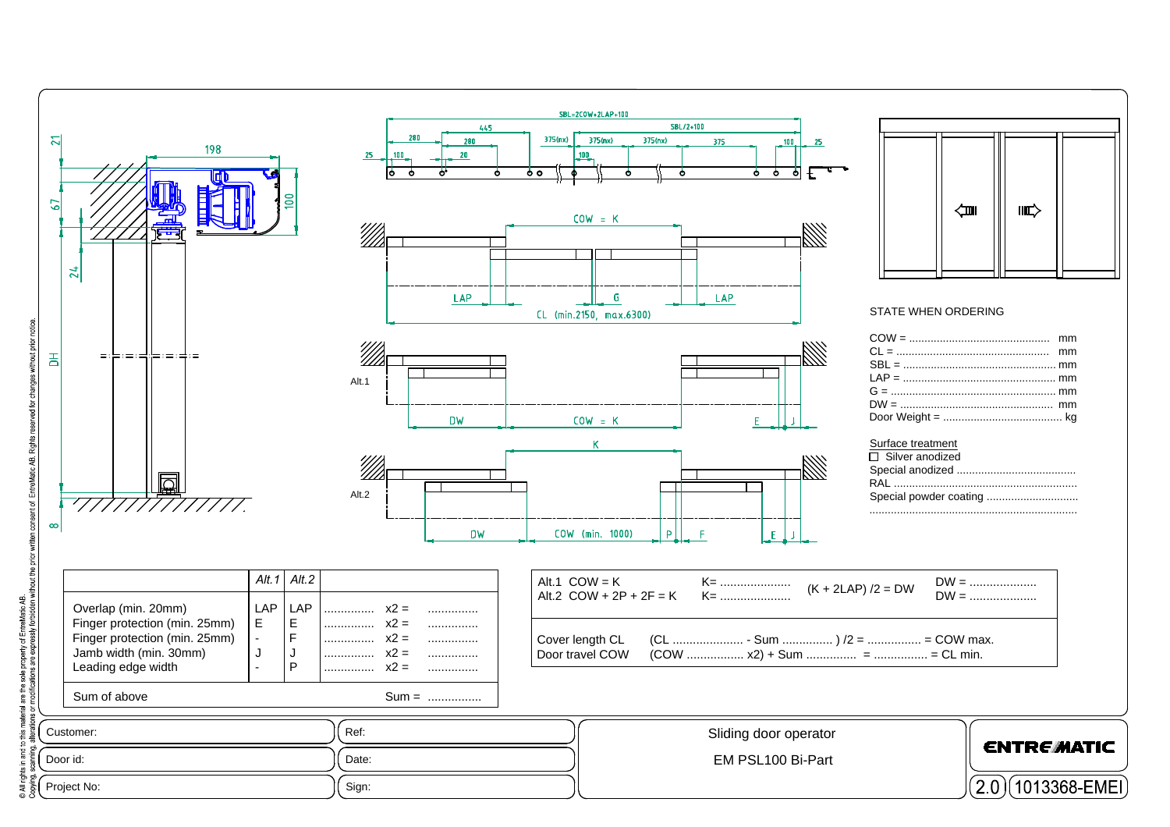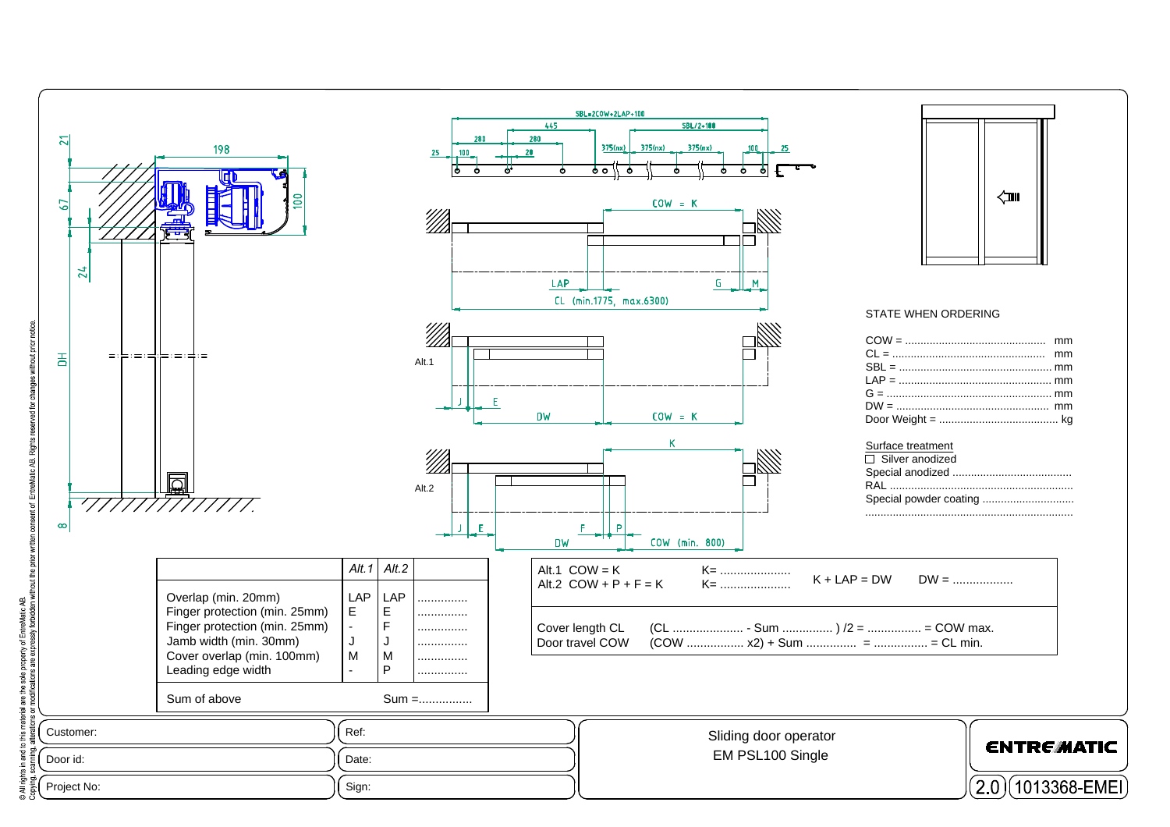